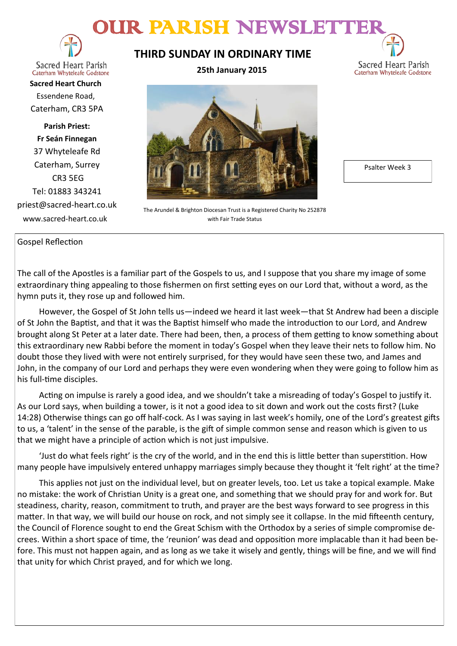# OUR PARISH NEWSLETT



**Sacred Heart Parish** Caterham Whyteleafe Godstone

**Sacred Heart Church** Essendene Road, Caterham, CR3 5PA

**Parish Priest: Fr Seán Finnegan** 37 Whyteleafe Rd Caterham, Surrey CR3 5EG Tel: 01883 343241 priest@sacred-heart.co.uk www.sacred-heart.co.uk

## **THIRD SUNDAY IN ORDINARY TIME**

**25th January 2015**



The Arundel & Brighton Diocesan Trust is a Registered Charity No 252878 with Fair Trade Status

Gospel Reflection

The call of the Apostles is a familiar part of the Gospels to us, and I suppose that you share my image of some extraordinary thing appealing to those fishermen on first setting eyes on our Lord that, without a word, as the hymn puts it, they rose up and followed him.

However, the Gospel of St John tells us—indeed we heard it last week—that St Andrew had been a disciple of St John the Baptist, and that it was the Baptist himself who made the introduction to our Lord, and Andrew brought along St Peter at a later date. There had been, then, a process of them getting to know something about this extraordinary new Rabbi before the moment in today's Gospel when they leave their nets to follow him. No doubt those they lived with were not entirely surprised, for they would have seen these two, and James and John, in the company of our Lord and perhaps they were even wondering when they were going to follow him as his full-time disciples.

Acting on impulse is rarely a good idea, and we shouldn't take a misreading of today's Gospel to justify it. As our Lord says, when building a tower, is it not a good idea to sit down and work out the costs first? (Luke 14:28) Otherwise things can go off half-cock. As I was saying in last week's homily, one of the Lord's greatest gifts to us, a 'talent' in the sense of the parable, is the gift of simple common sense and reason which is given to us that we might have a principle of action which is not just impulsive.

'Just do what feels right' is the cry of the world, and in the end this is little better than superstition. How many people have impulsively entered unhappy marriages simply because they thought it 'felt right' at the time?

This applies not just on the individual level, but on greater levels, too. Let us take a topical example. Make no mistake: the work of Christian Unity is a great one, and something that we should pray for and work for. But steadiness, charity, reason, commitment to truth, and prayer are the best ways forward to see progress in this matter. In that way, we will build our house on rock, and not simply see it collapse. In the mid fifteenth century, the Council of Florence sought to end the Great Schism with the Orthodox by a series of simple compromise decrees. Within a short space of time, the 'reunion' was dead and opposition more implacable than it had been before. This must not happen again, and as long as we take it wisely and gently, things will be fine, and we will find that unity for which Christ prayed, and for which we long.

Psalter Week 3

Sacred Heart Parish Caterham Whyteleafe Godstone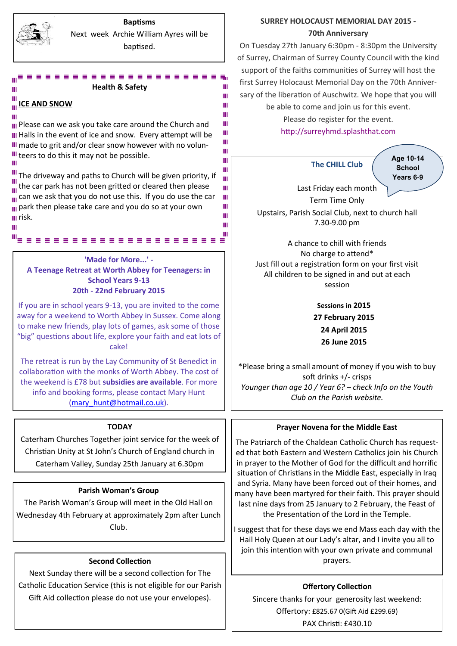

### **Baptisms** Next week Archie William Ayres will be baptised.

Ш

Ш Ш Ш

Ш Ш Ш Ш Ш

Ш Ш Ш Ш Ш Ш ш

Ш

#### **Health & Safety** Ш

### **ICE AND SNOW**

**III** Please can we ask you take care around the Church and **H** Halls in the event of ice and snow. Every attempt will be III made to grit and/or clear snow however with no volun-III teers to do this it may not be possible. Ш

ш

Ш

 $\frac{III}{II}$ . The driveway and paths to Church will be given priority, if  $\frac{11}{111}$  the car park has not been gritted or cleared then please  $\frac{1}{10}$  can we ask that you do not use this. If you do use the car **p** park then please take care and you do so at your own *<u>III</u>* risk.

**'Made for More...' - A Teenage Retreat at Worth Abbey for Teenagers: in School Years 9-13 20th - 22nd February 2015**

If you are in school years 9-13, you are invited to the come away for a weekend to Worth Abbey in Sussex. Come along to make new friends, play lots of games, ask some of those "big" questions about life, explore your faith and eat lots of cake!

The retreat is run by the Lay Community of St Benedict in collaboration with the monks of Worth Abbey. The cost of the weekend is £78 but **subsidies are available**. For more info and booking forms, please contact Mary Hunt [\(mary\\_hunt@hotmail.co.uk\)](mailto:katyrussell@hotmail.co.uk).

### **TODAY**

Caterham Churches Together joint service for the week of Christian Unity at St John's Church of England church in Caterham Valley, Sunday 25th January at 6.30pm

### **Parish Woman's Group**

The Parish Woman's Group will meet in the Old Hall on Wednesday 4th February at approximately 2pm after Lunch Club.

### **Second Collection**

Next Sunday there will be a second collection for The Catholic Education Service (this is not eligible for our Parish Gift Aid collection please do not use your envelopes).

### **SURREY HOLOCAUST MEMORIAL DAY 2015 - 70th Anniversary**

On Tuesday 27th January 6:30pm - 8:30pm the University of Surrey, Chairman of Surrey County Council with the kind support of the faiths communities of Surrey will host the first Surrey Holocaust Memorial Day on the 70th Anniversary of the liberation of Auschwitz. We hope that you will

be able to come and join us for this event.

Please do register for the event. [http://surreyhmd.splashthat.com](http://info.splashthat.com/wf/click?upn=pyRUrkrnwu3lKc4E5Wp6FEzByyh30mMhDxq8cYOFVzfCBevGh7PFj8U3QX5Mfyzc_-2FL0Dtu2HUMXfZjKJvPaQ-2Fsk69b5tplypPl0F-2Ba46XrXHkK0n19ECQq9RLjXLcRDoq4ZOCsWbpGCXBK4gSGWKB-2FV6qwcs2T6UqgCvqnZhbXTgxiRuv6orKtK9P9BlwYj7G3Py1qw22H6JhLWEwP)

**The CHILL Club** Last Friday each month Term Time Only Upstairs, Parish Social Club, next to church hall 7.30-9.00 pm **Age 10-14 School Years 6-9**

A chance to chill with friends No charge to attend\* Just fill out a registration form on your first visit All children to be signed in and out at each session

> **Sessions in 2015 27 February 2015 24 April 2015 26 June 2015**

\*Please bring a small amount of money if you wish to buy soft drinks +/- crisps *Younger than age 10 / Year 6? – check Info on the Youth Club on the Parish website.*

### **Prayer Novena for the Middle East**

The Patriarch of the Chaldean Catholic Church has requested that both Eastern and Western Catholics join his Church in prayer to the Mother of God for the difficult and horrific situation of Christians in the Middle East, especially in Iraq and Syria. Many have been forced out of their homes, and many have been martyred for their faith. This prayer should last nine days from 25 January to 2 February, the Feast of the Presentation of the Lord in the Temple.

I suggest that for these days we end Mass each day with the Hail Holy Queen at our Lady's altar, and I invite you all to join this intention with your own private and communal prayers.

### **Offertory Collection**

Sincere thanks for your generosity last weekend: Offertory: £825.67 0(Gift Aid £299.69) PAX Christi: £430.10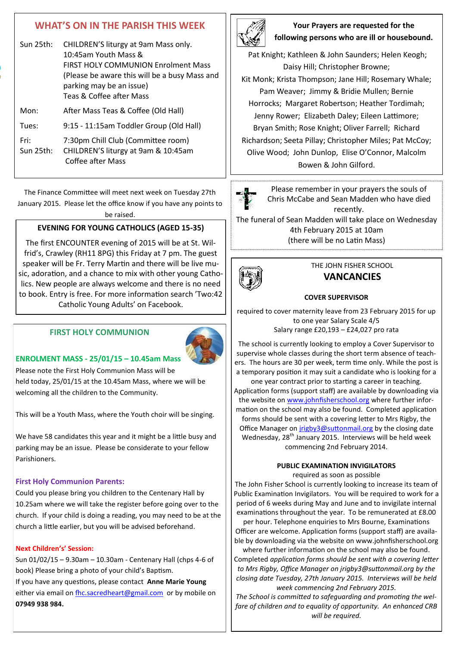## **WHAT'S ON IN THE PARISH THIS WEEK**

| Sun $25$ th: | CHILDREN'S liturgy at 9am Mass only.<br>10:45am Youth Mass &<br><b>FIRST HOLY COMMUNION Enrolment Mass</b><br>(Please be aware this will be a busy Mass and<br>parking may be an issue)<br>Teas & Coffee after Mass |
|--------------|---------------------------------------------------------------------------------------------------------------------------------------------------------------------------------------------------------------------|
| Mon:         | After Mass Teas & Coffee (Old Hall)                                                                                                                                                                                 |
| Tues:        | 9:15 - 11:15am Toddler Group (Old Hall)                                                                                                                                                                             |
| Fri:         | 7:30pm Chill Club (Committee room)                                                                                                                                                                                  |

Sun 25th: CHILDREN'S liturgy at 9am & 10:45am Coffee after Mass

The Finance Committee will meet next week on Tuesday 27th January 2015. Please let the office know if you have any points to

be raised.

### **EVENING FOR YOUNG CATHOLICS (AGED 15-35)**

The first ENCOUNTER evening of 2015 will be at St. Wilfrid's, Crawley (RH11 8PG) this Friday at 7 pm. The guest speaker will be Fr. Terry Martin and there will be live music, adoration, and a chance to mix with other young Catholics. New people are always welcome and there is no need to book. Entry is free. For more information search 'Two:42 Catholic Young Adults' on Facebook.

### **FIRST HOLY COMMUNION**



#### **ENROLMENT MASS - 25/01/15 – 10.45am Mass**

Please note the First Holy Communion Mass will be held today, 25/01/15 at the 10.45am Mass, where we will be welcoming all the children to the Community.

This will be a Youth Mass, where the Youth choir will be singing.

We have 58 candidates this year and it might be a little busy and parking may be an issue. Please be considerate to your fellow Parishioners.

#### **First Holy Communion Parents:**

Could you please bring you children to the Centenary Hall by 10.25am where we will take the register before going over to the church. If your child is doing a reading, you may need to be at the church a little earlier, but you will be advised beforehand.

### **Next Children's' Session:**

Sun 01/02/15 – 9.30am – 10.30am - Centenary Hall (chps 4-6 of book) Please bring a photo of your child's Baptism.

If you have any questions, please contact **Anne Marie Young** either via email on [fhc.sacredheart@gmail.com](mailto:fhc.sacredheart@gmail.com) or by mobile on **07949 938 984.**



### **Your Prayers are requested for the following persons who are ill or housebound.**

Pat Knight; Kathleen & John Saunders; Helen Keogh; Daisy Hill; Christopher Browne;

Kit Monk; Krista Thompson; Jane Hill; Rosemary Whale; Pam Weaver; Jimmy & Bridie Mullen; Bernie Horrocks; Margaret Robertson; Heather Tordimah; Jenny Rower; Elizabeth Daley; Eileen Lattimore; Bryan Smith; Rose Knight; Oliver Farrell; Richard Richardson; Seeta Pillay; Christopher Miles; Pat McCoy; Olive Wood; John Dunlop, Elise O'Connor, Malcolm Bowen & John Gilford.



Please remember in your prayers the souls of Chris McCabe and Sean Madden who have died recently.

The funeral of Sean Madden will take place on Wednesday 4th February 2015 at 10am (there will be no Latin Mass)



### THE JOHN FISHER SCHOOL **VANCANCIES**

#### **COVER SUPERVISOR**

required to cover maternity leave from 23 February 2015 for up to one year Salary Scale 4/5 Salary range £20,193 – £24,027 pro rata

The school is currently looking to employ a Cover Supervisor to supervise whole classes during the short term absence of teachers. The hours are 30 per week, term time only. While the post is a temporary position it may suit a candidate who is looking for a one year contract prior to starting a career in teaching. Application forms (support staff) are available by downloading via the website on [www.johnfisherschool.org](http://www.johnfisherschool.org) where further information on the school may also be found. Completed application forms should be sent with a covering letter to Mrs Rigby, the Office Manager on [jrigby3@suttonmail.org](mailto:jrigby3@suttonmail.org) by the closing date Wednesday, 28<sup>th</sup> January 2015. Interviews will be held week commencing 2nd February 2014.

### **PUBLIC EXAMINATION INVIGILATORS**

required as soon as possible

The John Fisher School is currently looking to increase its team of Public Examination Invigilators. You will be required to work for a period of 6 weeks during May and June and to invigilate internal examinations throughout the year. To be remunerated at £8.00

per hour. Telephone enquiries to Mrs Bourne, Examinations Officer are welcome. Application forms (support staff) are available by downloading via the website on www.johnfisherschool.org

where further information on the school may also be found. Completed *application forms should be sent with a covering letter to Mrs Rigby, Office Manager on jrigby3@suttonmail.org by the closing date Tuesday, 27th January 2015. Interviews will be held week commencing 2nd February 2015.*

*The School is committed to safeguarding and promoting the welfare of children and to equality of opportunity. An enhanced CRB will be required.*